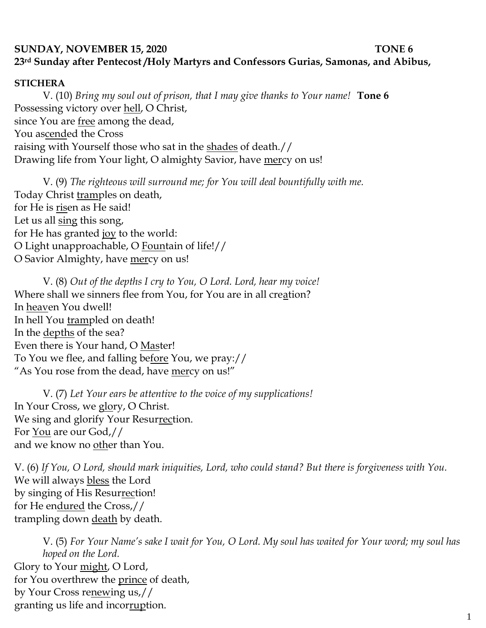## **SUNDAY, NOVEMBER 15, 2020** TONE 6 **23rd Sunday after Pentecost /Holy Martyrs and Confessors Gurias, Samonas, and Abibus,**

## **STICHERA**

V. (10) *Bring my soul out of prison, that I may give thanks to Your name!* **Tone 6** Possessing victory over hell, O Christ, since You are free among the dead, You ascended the Cross raising with Yourself those who sat in the shades of death.// Drawing life from Your light, O almighty Savior, have mercy on us!

V. (9) *The righteous will surround me; for You will deal bountifully with me.*  Today Christ tramples on death, for He is risen as He said! Let us all sing this song, for He has granted joy to the world: O Light unapproachable, O Fountain of life!// O Savior Almighty, have mercy on us!

V. (8) *Out of the depths I cry to You, O Lord. Lord, hear my voice!*  Where shall we sinners flee from You, for You are in all creation? In heaven You dwell! In hell You trampled on death! In the <u>depths</u> of the sea? Even there is Your hand, O Master! To You we flee, and falling before You, we pray:// "As You rose from the dead, have mercy on us!"

V. (7) *Let Your ears be attentive to the voice of my supplications!* In Your Cross, we glory, O Christ. We sing and glorify Your Resurrection. For You are our God,// and we know no other than You.

V. (6) *If You, O Lord, should mark iniquities, Lord, who could stand? But there is forgiveness with You.*  We will always bless the Lord by singing of His Resurrection! for He endured the Cross,// trampling down death by death.

V. (5) *For Your Name's sake I wait for You, O Lord. My soul has waited for Your word; my soul has hoped on the Lord.*  Glory to Your might, O Lord, for You overthrew the prince of death, by Your Cross renewing us,// granting us life and incorruption.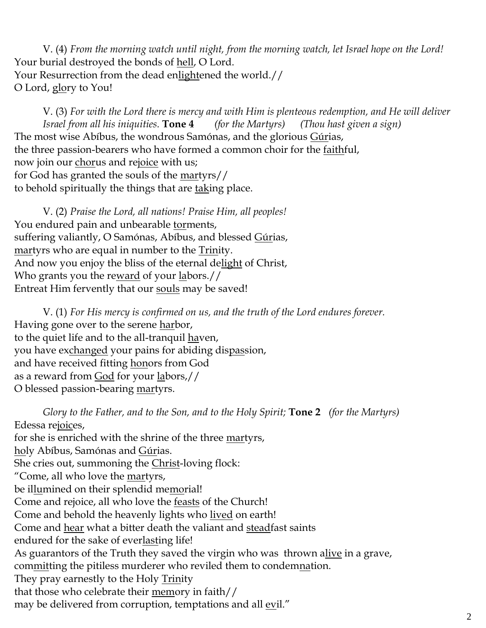V. (4) *From the morning watch until night, from the morning watch, let Israel hope on the Lord!*  Your burial destroyed the bonds of hell, O Lord. Your Resurrection from the dead enlightened the world.// O Lord, glory to You!

V. (3) *For with the Lord there is mercy and with Him is plenteous redemption, and He will deliver Israel from all his iniquities.* **Tone 4** *(for the Martyrs) (Thou hast given a sign)* The most wise Abíbus, the wondrous Samónas, and the glorious Gúrias, the three passion-bearers who have formed a common choir for the faithful, now join our chorus and rejoice with us; for God has granted the souls of the martyrs// to behold spiritually the things that are taking place.

V. (2) *Praise the Lord, all nations! Praise Him, all peoples!* You endured pain and unbearable torments, suffering valiantly, O Samónas, Abíbus, and blessed Gúrias, martyrs who are equal in number to the Trinity. And now you enjoy the bliss of the eternal delight of Christ, Who grants you the reward of your labors.// Entreat Him fervently that our souls may be saved!

V. (1) *For His mercy is confirmed on us, and the truth of the Lord endures forever.*  Having gone over to the serene harbor, to the quiet life and to the all-tranquil haven, you have exchanged your pains for abiding dispassion, and have received fitting honors from God as a reward from God for your labors,// O blessed passion-bearing martyrs.

*Glory to the Father, and to the Son, and to the Holy Spirit;* **Tone 2** *(for the Martyrs)* Edessa rejoices, for she is enriched with the shrine of the three martyrs, holy Abíbus, Samónas and Gúrias. She cries out, summoning the Christ-loving flock: "Come, all who love the martyrs, be illumined on their splendid memorial! Come and rejoice, all who love the feasts of the Church! Come and behold the heavenly lights who lived on earth! Come and hear what a bitter death the valiant and steadfast saints endured for the sake of everlasting life! As guarantors of the Truth they saved the virgin who was thrown alive in a grave, committing the pitiless murderer who reviled them to condemnation. They pray earnestly to the Holy Trinity that those who celebrate their memory in faith// may be delivered from corruption, temptations and all <u>evil</u>."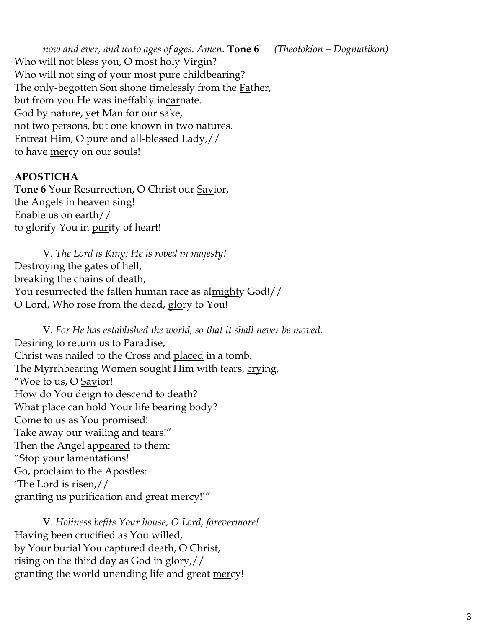*now and ever, and unto ages of ages. Amen.* **Tone 6** *(Theotokion – Dogmatikon)* Who will not bless you, O most holy Virgin? Who will not sing of your most pure childbearing? The only-begotten Son shone timelessly from the **Father**, but from you He was ineffably incarnate. God by nature, yet <u>Man</u> for our sake, not two persons, but one known in two natures. Entreat Him, O pure and all-blessed Lady,// to have <u>mer</u>cy on our souls!

## **APOSTICHA**

**Tone 6** Your Resurrection, O Christ our Savior, the Angels in **heaven** sing! Enable  $us$  on earth//</u> to glorify You in <u>pur</u>ity of heart!

V. *The Lord is King; He is robed in majesty!*  Destroying the gates of hell, breaking the chains of death, You resurrected the fallen human race as almighty God!// O Lord, Who rose from the dead, glory to You!

V. *For He has established the world, so that it shall never be moved.* Desiring to return us to Paradise, Christ was nailed to the Cross and placed in a tomb. The Myrrhbearing Women sought Him with tears, crying, "Woe to us, O Savior! How do You deign to descend to death? What place can hold Your life bearing body? Come to us as You promised! Take away our <u>wail</u>ing and tears!" Then the Angel appeared to them: "Stop your lamentations! Go, proclaim to the Apostles: 'The Lord is risen,// granting us purification and great mercy!'"

V. *Holiness befits Your house, O Lord, forevermore!*  Having been crucified as You willed, by Your burial You captured <u>death</u>, O Christ, rising on the third day as God in  $glory$ ,// granting the world unending life and great mercy!